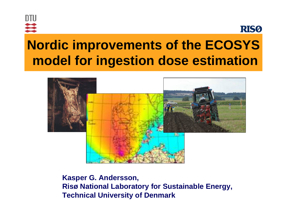



# **Nordic improvements of the ECOSYS model for ingestion dose estimation**



**Kasper G. Andersson, Risø National Laboratory for Sustainable Energy, Technical University of Denmark**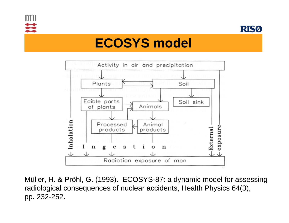



## **ECOSYS model**



Müller, H. & Pröhl, G. (1993). ECOSYS-87: a dynamic model for assessing radiological consequences of nuclear accidents, Health Physics 64(3), pp. 232-252.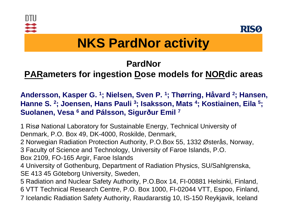



# **NKS PardNor activity**

### **PardNor**

### **PARameters for ingestion Dose models for NORdic areas**

**Andersson, Kasper G. 1; Nielsen, Sven P. 1; Thørring, Håvard 2; Hansen, Hanne S. 2; Joensen, Hans Pauli 3; Isaksson, Mats 4; Kostiainen, Eila 5; Suolanen, Vesa 6 and Pálsson, Sigurður Emil 7**

1 Risø National Laboratory for Sustainable Energy, Technical University of Denmark, P.O. Box 49, DK-4000, Roskilde, Denmark,

2 Norwegian Radiation Protection Authority, P.O.Box 55, 1332 Østerås, Norway,

3 Faculty of Science and Technology, University of Faroe Islands, P.O.

Box 2109, FO-165 Argir, Faroe Islands

4 University of Gothenburg, Department of Radiation Physics, SU/Sahlgrenska, SE 413 45 Göteborg University, Sweden,

5 Radiation and Nuclear Safety Authority, P.O.Box 14, FI-00881 Helsinki, Finland, 6 VTT Technical Research Centre, P.O. Box 1000, FI-02044 VTT, Espoo, Finland, 7 Icelandic Radiation Safety Authority, Raudararstig 10, IS-150 Reykjavik, Iceland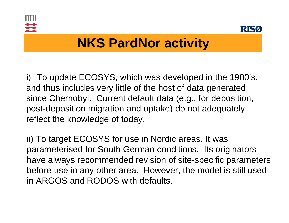



# **NKS PardNor activity**

i) To update ECOSYS, which was developed in the 1980's, and thus includes very little of the host of data generated since Chernobyl. Current default data (e.g., for deposition, post-deposition migration and uptake) do not adequately reflect the knowledge of today.

ii) To target ECOSYS for use in Nordic areas. It was parameterised for South German conditions. Its originators have always recommended revision of site-specific parameters before use in any other area. However, the model is still used in ARGOS and RODOS with defaults.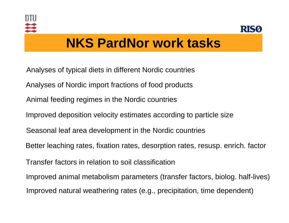



## **NKS PardNor work tasks**

- Analyses of typical diets in different Nordic countries
- Analyses of Nordic import fractions of food products
- Animal feeding regimes in the Nordic countries
- Improved deposition velocity estimates according to particle size
- Seasonal leaf area development in the Nordic countries
- Better leaching rates, fixation rates, desorption rates, resusp. enrich. factor
- Transfer factors in relation to soil classification
- Improved animal metabolism parameters (transfer factors, biolog. half-lives) Improved natural weathering rates (e.g., precipitation, time dependent)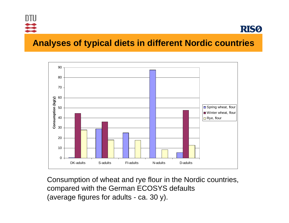



#### **Analyses of typical diets in different Nordic countries**



Consumption of wheat and rye flour in the Nordic countries, compared with the German ECOSYS defaults (average figures for adults - ca. 30 y).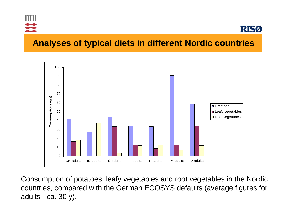



#### **Analyses of typical diets in different Nordic countries**



Consumption of potatoes, leafy vegetables and root vegetables in the Nordic countries, compared with the German ECOSYS defaults (average figures for adults - ca. 30 y).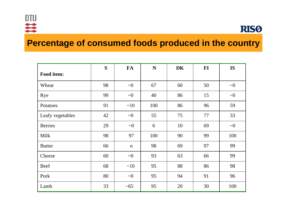

#### **Percentage of consumed foods produced in the country**

|                  | S  | <b>FA</b>   | $\mathbf N$ | <b>DK</b> | $FI$ | <b>IS</b> |
|------------------|----|-------------|-------------|-----------|------|-----------|
| Food item:       |    |             |             |           |      |           |
| Wheat            | 98 | $\sim 0$    | 67          | 60        | 50   | $\sim 0$  |
| Rye              | 99 | $\sim 0$    | 40          | 86        | 15   | $\sim 0$  |
| Potatoes         | 91 | ~10         | 100         | 86        | 96   | 59        |
| Leafy vegetables | 42 | $\sim 0$    | 55          | 75        | 77   | 33        |
| <b>Berries</b>   | 29 | $\sim 0$    | 6           | 10        | 69   | $\sim 0$  |
| Milk             | 98 | 97          | 100         | 90        | 99   | 100       |
| <b>Butter</b>    | 66 | $\mathbf n$ | 98          | 69        | 97   | 99        |
| Cheese           | 60 | $\sim 0$    | 93          | 63        | 66   | 99        |
| <b>Beef</b>      | 68 | ~10         | 95          | 88        | 86   | 98        |
| Pork             | 80 | $\sim 0$    | 95          | 94        | 91   | 96        |
| Lamb             | 33 | $~1$ –65    | 95          | 20        | 30   | 100       |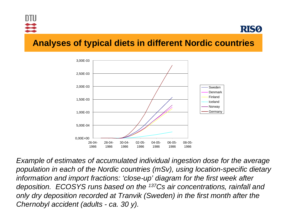



#### **Analyses of typical diets in different Nordic countries**



*Example of estimates of accumulated individual ingestion dose for the average population in each of the Nordic countries (mSv), using location-specific dietary information and import fractions: 'close-up' diagram for the first week after deposition. ECOSYS runs based on the 137Cs air concentrations, rainfall and only dry deposition recorded at Tranvik (Sweden) in the first month after the Chernobyl accident (adults - ca. 30 y).*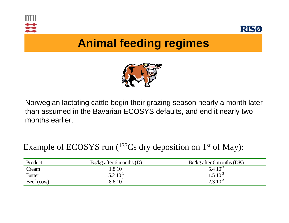



## **Animal feeding regimes**



Norwegian lactating cattle begin their grazing season nearly a month later than assumed in the Bavarian ECOSYS defaults, and end it nearly two months earlier.

#### Example of ECOSYS run (137Cs dry deposition on 1st of May):

| Product       | $Bq/kg$ after 6 months (D) | Bq/kg after 6 months (DK) |
|---------------|----------------------------|---------------------------|
| Cream         | $.810^0$                   | $5.410^{-3}$              |
| <b>Butter</b> | $5.2~10^{-1}$              | $1.5 \times 10^{-3}$      |
| Beef (cow)    | $8.6~10^0$                 | $2.3 \times 10^{-2}$      |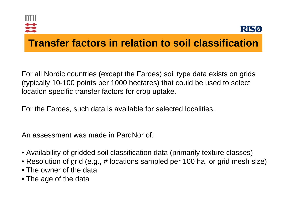



### **Transfer factors in relation to soil classification**

For all Nordic countries (except the Faroes) soil type data exists on grids (typically 10-100 points per 1000 hectares) that could b e used to select loc ation specific transfer factors for crop uptake.

For th e Faroes, such data is available f o r selected localities.

An assessment was made in PardNor of:

- $\bullet$  Availability of gridded soil classification data (primarily texture classes)  $\overline{\phantom{a}}$
- Resolution of grid (e.g., # loc ations sampled per 100 ha, or grid mesh size)
- The owner of the data
- The age of the data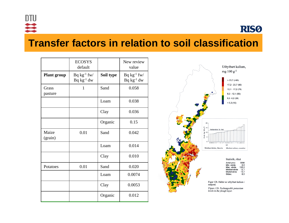

**RISO** 

#### **Transfer factors in relation to soil classification**

|                    | <b>ECOSYS</b><br>default             |           | New review<br>value                  |  |
|--------------------|--------------------------------------|-----------|--------------------------------------|--|
| <b>Plant group</b> | $Bq kg^{-1} f w/$<br>$Bq kg^{-1} dw$ | Soil type | $Bq kg^{-1} f w/$<br>$Bq kg^{-1} dw$ |  |
| Grass<br>pasture   | 1                                    | Sand      | 0.058                                |  |
|                    |                                      | Loam      | 0.038                                |  |
|                    |                                      | Clay      | 0.036                                |  |
|                    |                                      | Organic   | 0.15                                 |  |
| Maize<br>(grain)   | 0.01                                 | Sand      | 0.042                                |  |
|                    |                                      | Loam      | 0.014                                |  |
|                    |                                      | Clay      | 0.010                                |  |
| Potatoes           | 0.01                                 | Sand      | 0.020                                |  |
|                    |                                      | Loam      | 0.0074                               |  |
|                    |                                      | Clay      | 0.0053                               |  |
|                    |                                      | Organic   | 0.012                                |  |



Figure 12b. Exchangeable potassium

levels in the plough layer.